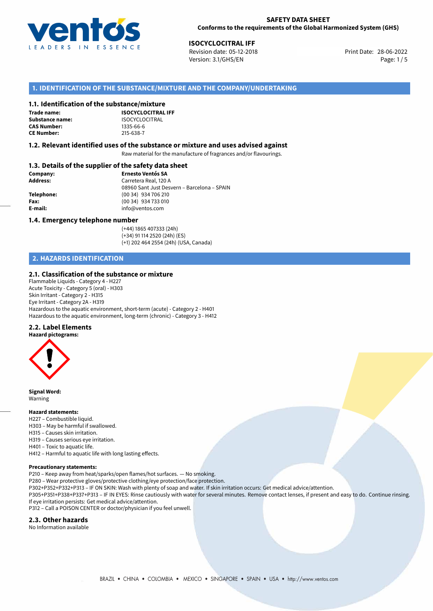

**ISOCYCLOCITRAL IFF**<br> **28-06-2022** Revision date: 05-12-2018 **Print Date: 28-06-2022** Version: 3.1/GHS/EN Page: 1 / 5

## **1. IDENTIFICATION OF THE SUBSTANCE/MIXTURE AND THE COMPANY/UNDERTAKING**

#### **1.1. Identification of the substance/mixture**

**Trade name: CAS Number: CE Number:** 215-638-7

**ISOCYCLOCITRAL IFF Substance name:** ISOCYCLOCITRAL<br> **CAS Number:** 1335-66-6

#### **1.2. Relevant identified uses of the substance or mixture and uses advised against**

Raw material for the manufacture of fragrances and/or flavourings.

## **1.3. Details of the supplier of the safety data sheet**

| Company:        | <b>Ernesto Ventós SA</b>                    |
|-----------------|---------------------------------------------|
| <b>Address:</b> | Carretera Real, 120 A                       |
|                 | 08960 Sant Just Desvern – Barcelona – SPAIN |
| Telephone:      | (00 34) 934 706 210                         |
| Fax:            | (00 34) 934 733 010                         |
| E-mail:         | info@ventos.com                             |
|                 |                                             |

#### **1.4. Emergency telephone number**

(+44) 1865 407333 (24h) (+34) 91 114 2520 (24h) (ES) (+1) 202 464 2554 (24h) (USA, Canada)

## **2. HAZARDS IDENTIFICATION**

### **2.1. Classification of the substance or mixture**

Flammable Liquids - Category 4 - H227 Acute Toxicity - Category 5 (oral) - H303 Skin Irritant - Category 2 - H315 Eye Irritant - Category 2A - H319 Hazardous to the aquatic environment, short-term (acute) - Category 2 - H401 Hazardous to the aquatic environment, long-term (chronic) - Category 3 - H412

### **2.2. Label Elements**

**Hazard pictograms:**



**Signal Word:** Warning

#### **Hazard statements:**

- H227 Combustible liquid. H303 – May be harmful if swallowed. H315 – Causes skin irritation. H319 – Causes serious eye irritation.
- H401 Toxic to aquatic life.

H412 – Harmful to aquatic life with long lasting effects.

#### **Precautionary statements:**

P210 – Keep away from heat/sparks/open flames/hot surfaces. — No smoking. P280 – Wear protective gloves/protective clothing/eye protection/face protection. P302+P352+P332+P313 – IF ON SKIN: Wash with plenty of soap and water. If skin irritation occurs: Get medical advice/attention. P305+P351+P338+P337+P313 – IF IN EYES: Rinse cautiously with water for several minutes. Remove contact lenses, if present and easy to do. Continue rinsing. If eye irritation persists: Get medical advice/attention. P312 – Call a POISON CENTER or doctor/physician if you feel unwell.

### **2.3. Other hazards**

No Information available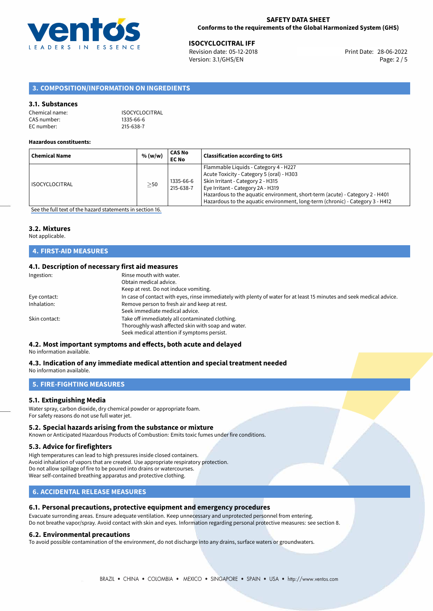

**ISOCYCLOCITRAL IFF**<br> **Print Date:** 28-06-2022 **Print Date:** 28-06-2022 Version: 3.1/GHS/EN Page: 2 / 5

## **3. COMPOSITION/INFORMATION ON INGREDIENTS**

#### **3.1. Substances**

| Chemical name: | <b>ISOCYCLOCITRAL</b> |
|----------------|-----------------------|
| CAS number:    | 1335-66-6             |
| EC number:     | 215-638-7             |

#### **Hazardous constituents:**

| <b>Chemical Name</b>       | % (w/w)   | <b>CAS No</b><br><b>EC No</b> | <b>Classification according to GHS</b>                                                                                                                                                                                                                                                                                        |
|----------------------------|-----------|-------------------------------|-------------------------------------------------------------------------------------------------------------------------------------------------------------------------------------------------------------------------------------------------------------------------------------------------------------------------------|
| <b>ISOCYCLOCITRAL</b><br>. | $\geq$ 50 | 1335-66-6<br>215-638-7        | Flammable Liquids - Category 4 - H227<br>Acute Toxicity - Category 5 (oral) - H303<br>Skin Irritant - Category 2 - H315<br>Eye Irritant - Category 2A - H319<br>Hazardous to the aquatic environment, short-term (acute) - Category 2 - H401<br>Hazardous to the aquatic environment, long-term (chronic) - Category 3 - H412 |

[See the full text of the hazard statements in section 16.](#page-4-0)

#### **3.2. Mixtures**

Not applicable.

# **4. FIRST-AID MEASURES**

## **4.1. Description of necessary first aid measures**

| Ingestion:    | Rinse mouth with water.<br>Obtain medical advice.<br>Keep at rest. Do not induce vomiting.                                                           |
|---------------|------------------------------------------------------------------------------------------------------------------------------------------------------|
| Eye contact:  | In case of contact with eyes, rinse immediately with plenty of water for at least 15 minutes and seek medical advice.                                |
| Inhalation:   | Remove person to fresh air and keep at rest.<br>Seek immediate medical advice.                                                                       |
| Skin contact: | Take off immediately all contaminated clothing.<br>Thoroughly wash affected skin with soap and water.<br>Seek medical attention if symptoms persist. |

# **4.2. Most important symptoms and effects, both acute and delayed**

No information available.

#### **4.3. Indication of any immediate medical attention and special treatment needed** No information available.

**5. FIRE-FIGHTING MEASURES**

## **5.1. Extinguishing Media**

Water spray, carbon dioxide, dry chemical powder or appropriate foam. For safety reasons do not use full water jet.

#### **5.2. Special hazards arising from the substance or mixture**

Known or Anticipated Hazardous Products of Combustion: Emits toxic fumes under fire conditions.

#### **5.3. Advice for firefighters**

High temperatures can lead to high pressures inside closed containers. Avoid inhalation of vapors that are created. Use appropriate respiratory protection. Do not allow spillage of fire to be poured into drains or watercourses. Wear self-contained breathing apparatus and protective clothing.

## **6. ACCIDENTAL RELEASE MEASURES**

### **6.1. Personal precautions, protective equipment and emergency procedures**

Evacuate surronding areas. Ensure adequate ventilation. Keep unnecessary and unprotected personnel from entering. Do not breathe vapor/spray. Avoid contact with skin and eyes. Information regarding personal protective measures: see section 8.

#### **6.2. Environmental precautions**

To avoid possible contamination of the environment, do not discharge into any drains, surface waters or groundwaters.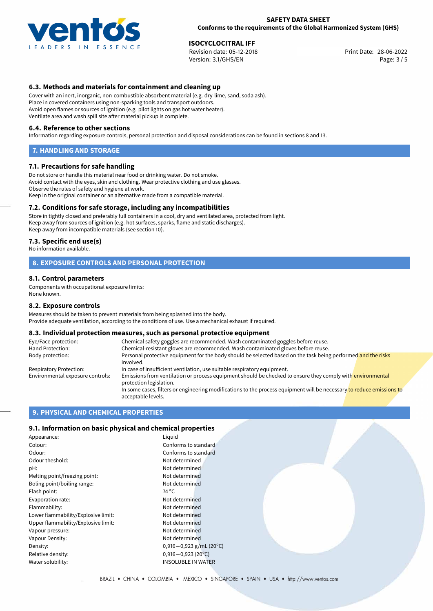

**ISOCYCLOCITRAL IFF**<br> **Print Date:** 28-06-2022 **Print Date:** 28-06-2022 Version: 3.1/GHS/EN Page: 3 / 5

## **6.3. Methods and materials for containment and cleaning up**

Cover with an inert, inorganic, non-combustible absorbent material (e.g. dry-lime, sand, soda ash). Place in covered containers using non-sparking tools and transport outdoors. Avoid open flames or sources of ignition (e.g. pilot lights on gas hot water heater). Ventilate area and wash spill site after material pickup is complete.

#### **6.4. Reference to other sections**

Information regarding exposure controls, personal protection and disposal considerations can be found in sections 8 and 13.

#### **7. HANDLING AND STORAGE**

#### **7.1. Precautions for safe handling**

Do not store or handle this material near food or drinking water. Do not smoke. Avoid contact with the eyes, skin and clothing. Wear protective clothing and use glasses. Observe the rules of safety and hygiene at work. Keep in the original container or an alternative made from a compatible material.

### **7.2. Conditions for safe storage, including any incompatibilities**

Store in tightly closed and preferably full containers in a cool, dry and ventilated area, protected from light. Keep away from sources of ignition (e.g. hot surfaces, sparks, flame and static discharges). Keep away from incompatible materials (see section 10).

#### **7.3. Specific end use(s)**

No information available.

### **8. EXPOSURE CONTROLS AND PERSONAL PROTECTION**

#### **8.1. Control parameters**

Components with occupational exposure limits: None known.

#### **8.2. Exposure controls**

Measures should be taken to prevent materials from being splashed into the body. Provide adequate ventilation, according to the conditions of use. Use a mechanical exhaust if required.

#### **8.3. Individual protection measures, such as personal protective equipment**

| Eye/Face protection:             | Chemical safety goggles are recommended. Wash contaminated goggles before reuse.                                                            |
|----------------------------------|---------------------------------------------------------------------------------------------------------------------------------------------|
| Hand Protection:                 | Chemical-resistant gloves are recommended. Wash contaminated gloves before reuse.                                                           |
| Body protection:                 | Personal protective equipment for the body should be selected based on the task being performed and the risks<br>involved.                  |
| Respiratory Protection:          | In case of insufficient ventilation, use suitable respiratory equipment.                                                                    |
| Environmental exposure controls: | Emissions from ventilation or process equipment should be checked to ensure they comply with environmental<br>protection legislation.       |
|                                  | In some cases, filters or engineering modifications to the process equipment will be necessary to reduce emissions to<br>acceptable levels. |

#### **9. PHYSICAL AND CHEMICAL PROPERTIES**

#### **9.1. Information on basic physical and chemical properties**

| Appearance:                         | Liguid                    |
|-------------------------------------|---------------------------|
| Colour:<br>Conforms to standard     |                           |
| Odour:                              | Conforms to standard      |
| Odour theshold:                     | Not determined            |
| pH:                                 | Not determined            |
| Melting point/freezing point:       | Not determined            |
| Boling point/boiling range:         | Not determined            |
| Flash point:                        | 74 °C                     |
| Evaporation rate:                   | Not determined            |
| Flammability:                       | Not determined            |
| Lower flammability/Explosive limit: | Not determined            |
| Upper flammability/Explosive limit: | Not determined            |
| Vapour pressure:                    | Not determined            |
| Vapour Density:                     | Not determined            |
| Density:                            | 0,916 - 0,923 g/mL (20°C) |
| Relative density:                   | $0,916 - 0,923$ (20°C)    |
| Water solubility:                   | <b>INSOLUBLE IN WATER</b> |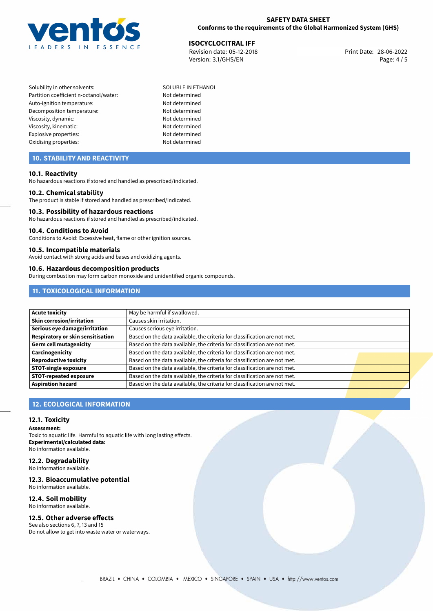

**ISOCYCLOCITRAL IFF**<br>
Revision date: 05-12-2018<br> **Print Date: 28-06-2022** Revision date: 05-12-2018 Version: 3.1/GHS/EN Page: 4 / 5

- Solubility in other solvents: SOLUBLE IN ETHANOL Partition coefficient n-octanol/water: Not determined Auto-ignition temperature: Not determined Decomposition temperature: Not determined Viscosity, dynamic: Not determined Viscosity, kinematic: Not determined Explosive properties: Not determined Oxidising properties: Not determined
	-

## **10. STABILITY AND REACTIVITY**

#### **10.1. Reactivity**

No hazardous reactions if stored and handled as prescribed/indicated.

#### **10.2. Chemical stability**

The product is stable if stored and handled as prescribed/indicated.

#### **10.3. Possibility of hazardous reactions**

No hazardous reactions if stored and handled as prescribed/indicated.

#### **10.4. Conditions to Avoid**

Conditions to Avoid: Excessive heat, flame or other ignition sources.

#### **10.5. Incompatible materials**

Avoid contact with strong acids and bases and oxidizing agents.

#### **10.6. Hazardous decomposition products**

During combustion may form carbon monoxide and unidentified organic compounds.

## **11. TOXICOLOGICAL INFORMATION**

| <b>Acute toxicity</b>             | May be harmful if swallowed.                                              |  |
|-----------------------------------|---------------------------------------------------------------------------|--|
| Skin corrosion/irritation         | Causes skin irritation.                                                   |  |
| Serious eye damage/irritation     | Causes serious eye irritation.                                            |  |
| Respiratory or skin sensitisation | Based on the data available, the criteria for classification are not met. |  |
| Germ cell mutagenicity            | Based on the data available, the criteria for classification are not met. |  |
| Carcinogenicity                   | Based on the data available, the criteria for classification are not met. |  |
| Reproductive toxicity             | Based on the data available, the criteria for classification are not met. |  |
| <b>STOT-single exposure</b>       | Based on the data available, the criteria for classification are not met. |  |
| <b>STOT-repeated exposure</b>     | Based on the data available, the criteria for classification are not met. |  |
| <b>Aspiration hazard</b>          | Based on the data available, the criteria for classification are not met. |  |

## **12. ECOLOGICAL INFORMATION**

#### **12.1. Toxicity**

**Assessment:**

Toxic to aquatic life. Harmful to aquatic life with long lasting effects. **Experimental/calculated data:** No information available.

# **12.2. Degradability**

No information available.

### **12.3. Bioaccumulative potential**

No information available.

# **12.4. Soil mobility**

No information available.

## **12.5. Other adverse effects**

See also sections 6, 7, 13 and 15 Do not allow to get into waste water or waterways.